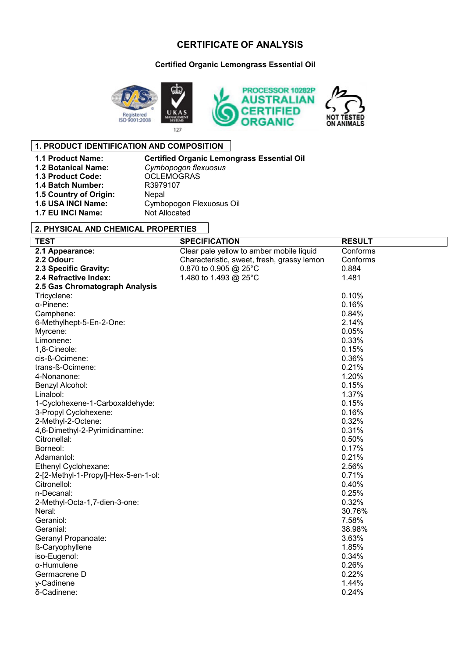# **CERTIFICATE OF ANALYSIS**

**Certified Organic Lemongrass Essential Oil** 



### **1. PRODUCT IDENTIFICATION AND COMPOSITION**

**1.3 Product Code: OCLEMOC**<br>**1.4 Batch Number:** R3979107 **1.4 Batch Number:** R3979<br>**1.5 Country of Origin:** Nepal **1.5 Country of Origin:**<br>**1.6 USA INCI Name: 1.7 EU INCI Name:** Not Allocated

**1.1 Product Name:** Certified Organic Lemongrass Essential Oil<br>**1.2 Botanical Name:** Cymbopogon flexuosus **1.2 Botanical Name:** *Cymbopogon flexuosus* **1.6 USA INCI Name:** Cymbopogon Flexuosus Oil

### **2. PHYSICAL AND CHEMICAL PROPERTIES**

| <b>TEST</b>                          | <b>SPECIFICATION</b>                       | <b>RESULT</b> |
|--------------------------------------|--------------------------------------------|---------------|
| 2.1 Appearance:                      | Clear pale yellow to amber mobile liquid   | Conforms      |
| 2.2 Odour:                           | Characteristic, sweet, fresh, grassy lemon | Conforms      |
| 2.3 Specific Gravity:                | 0.870 to 0.905 @ 25°C                      | 0.884         |
| 2.4 Refractive Index:                | 1.480 to 1.493 @ 25°C                      | 1.481         |
| 2.5 Gas Chromatograph Analysis       |                                            |               |
| Tricyclene:                          |                                            | 0.10%         |
| $\alpha$ -Pinene:                    |                                            | 0.16%         |
| Camphene:                            |                                            | 0.84%         |
| 6-Methylhept-5-En-2-One:             |                                            | 2.14%         |
| Myrcene:                             |                                            | 0.05%         |
| Limonene:                            |                                            | 0.33%         |
| 1,8-Cineole:                         |                                            | 0.15%         |
| cis-ß-Ocimene:                       |                                            | 0.36%         |
| trans-ß-Ocimene:                     |                                            | 0.21%         |
| 4-Nonanone:                          |                                            | 1.20%         |
| Benzyl Alcohol:                      |                                            | 0.15%         |
| Linalool:                            |                                            | 1.37%         |
| 1-Cyclohexene-1-Carboxaldehyde:      |                                            | 0.15%         |
| 3-Propyl Cyclohexene:                |                                            | 0.16%         |
| 2-Methyl-2-Octene:                   |                                            | 0.32%         |
| 4,6-Dimethyl-2-Pyrimidinamine:       |                                            | 0.31%         |
| Citronellal:                         |                                            | 0.50%         |
| Borneol:                             |                                            | 0.17%         |
| Adamantol:                           |                                            | 0.21%         |
| Ethenyl Cyclohexane:                 |                                            | 2.56%         |
| 2-[2-Methyl-1-Propyl]-Hex-5-en-1-ol: |                                            | 0.71%         |
| Citronellol:                         |                                            | 0.40%         |
| n-Decanal:                           |                                            | 0.25%         |
| 2-Methyl-Octa-1,7-dien-3-one:        |                                            | 0.32%         |
| Neral:                               |                                            | 30.76%        |
| Geraniol:                            |                                            | 7.58%         |
| Geranial:                            |                                            | 38.98%        |
| Geranyl Propanoate:                  |                                            | 3.63%         |
| ß-Caryophyllene                      |                                            | 1.85%         |
| iso-Eugenol:                         |                                            | 0.34%         |
| $\alpha$ -Humulene                   |                                            | 0.26%         |
| Germacrene D                         |                                            | 0.22%         |
| y-Cadinene                           |                                            | 1.44%         |
| δ-Cadinene:                          |                                            | 0.24%         |